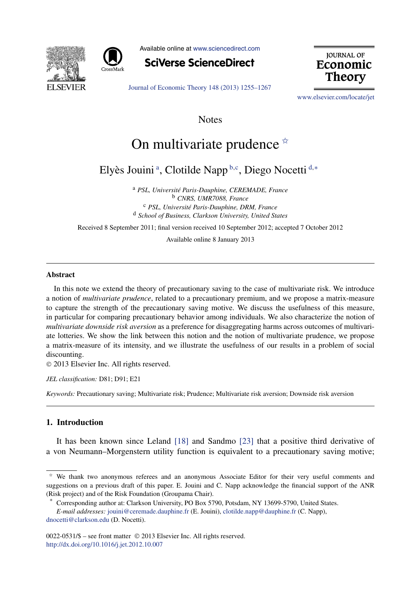



Available online at [www.sciencedirect.com](http://www.sciencedirect.com)

**SciVerse ScienceDirect** 

**JOURNAL OF** Economic **Theory** 

[Journal of Economic Theory 148 \(2013\) 1255–1267](http://dx.doi.org/10.1016/j.jet.2012.10.007)

[www.elsevier.com/locate/jet](http://www.elsevier.com/locate/jet)

**Notes** 

# On multivariate prudence  $\dot{\alpha}$

Elyès Jouini <sup>a</sup> , Clotilde Napp <sup>b</sup>*,*<sup>c</sup> , Diego Nocetti <sup>d</sup>*,*<sup>∗</sup>

<sup>a</sup> *PSL, Université Paris-Dauphine, CEREMADE, France* <sup>b</sup> *CNRS, UMR7088, France* <sup>c</sup> *PSL, Université Paris-Dauphine, DRM, France* <sup>d</sup> *School of Business, Clarkson University, United States*

Received 8 September 2011; final version received 10 September 2012; accepted 7 October 2012

Available online 8 January 2013

#### **Abstract**

In this note we extend the theory of precautionary saving to the case of multivariate risk. We introduce a notion of *multivariate prudence*, related to a precautionary premium, and we propose a matrix-measure to capture the strength of the precautionary saving motive. We discuss the usefulness of this measure, in particular for comparing precautionary behavior among individuals. We also characterize the notion of *multivariate downside risk aversion* as a preference for disaggregating harms across outcomes of multivariate lotteries. We show the link between this notion and the notion of multivariate prudence, we propose a matrix-measure of its intensity, and we illustrate the usefulness of our results in a problem of social discounting.

© 2013 Elsevier Inc. All rights reserved.

*JEL classification:* D81; D91; E21

*Keywords:* Precautionary saving; Multivariate risk; Prudence; Multivariate risk aversion; Downside risk aversion

# **1. Introduction**

It has been known since Leland [\[18\]](#page-11-0) and Sandmo [\[23\]](#page-12-0) that a positive third derivative of a von Neumann–Morgenstern utility function is equivalent to a precautionary saving motive;

 $*$  We thank two anonymous referees and an anonymous Associate Editor for their very useful comments and suggestions on a previous draft of this paper. E. Jouini and C. Napp acknowledge the financial support of the ANR (Risk project) and of the Risk Foundation (Groupama Chair).

Corresponding author at: Clarkson University, PO Box 5790, Potsdam, NY 13699-5790, United States.

*E-mail addresses:* [jouini@ceremade.dauphine.fr](mailto:jouini@ceremade.dauphine.fr) (E. Jouini), [clotilde.napp@dauphine.fr](mailto:clotilde.napp@dauphine.fr) (C. Napp), [dnocetti@clarkson.edu](mailto:dnocetti@clarkson.edu) (D. Nocetti).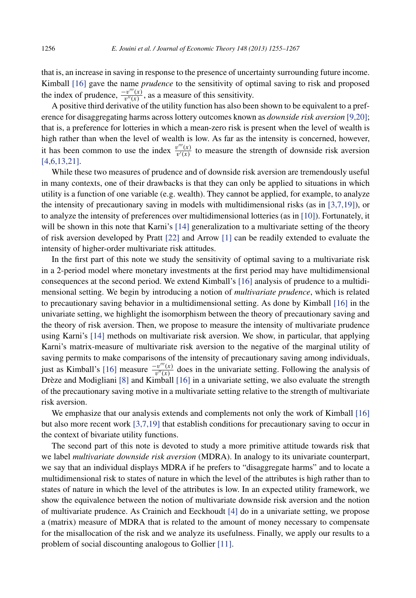that is, an increase in saving in response to the presence of uncertainty surrounding future income. Kimball [\[16\]](#page-11-0) gave the name *prudence* to the sensitivity of optimal saving to risk and proposed the index of prudence,  $\frac{-v'''(x)}{v''(x)}$ , as a measure of this sensitivity.

A positive third derivative of the utility function has also been shown to be equivalent to a preference for disaggregating harms across lottery outcomes known as *downside risk aversion* [\[9,20\];](#page-11-0) that is, a preference for lotteries in which a mean-zero risk is present when the level of wealth is high rather than when the level of wealth is low. As far as the intensity is concerned, however, it has been common to use the index  $\frac{v'''(x)}{v'(x)}$  to measure the strength of downside risk aversion [\[4,6,13,21\].](#page-11-0)

While these two measures of prudence and of downside risk aversion are tremendously useful in many contexts, one of their drawbacks is that they can only be applied to situations in which utility is a function of one variable (e.g. wealth). They cannot be applied, for example, to analyze the intensity of precautionary saving in models with multidimensional risks (as in [\[3,7,19\]\)](#page-11-0), or to analyze the intensity of preferences over multidimensional lotteries (as in [\[10\]\)](#page-11-0). Fortunately, it will be shown in this note that Karni's [\[14\]](#page-11-0) generalization to a multivariate setting of the theory of risk aversion developed by Pratt [\[22\]](#page-12-0) and Arrow [\[1\]](#page-11-0) can be readily extended to evaluate the intensity of higher-order multivariate risk attitudes.

In the first part of this note we study the sensitivity of optimal saving to a multivariate risk in a 2-period model where monetary investments at the first period may have multidimensional consequences at the second period. We extend Kimball's [\[16\]](#page-11-0) analysis of prudence to a multidimensional setting. We begin by introducing a notion of *multivariate prudence*, which is related to precautionary saving behavior in a multidimensional setting. As done by Kimball [\[16\]](#page-11-0) in the univariate setting, we highlight the isomorphism between the theory of precautionary saving and the theory of risk aversion. Then, we propose to measure the intensity of multivariate prudence using Karni's [\[14\]](#page-11-0) methods on multivariate risk aversion. We show, in particular, that applying Karni's matrix-measure of multivariate risk aversion to the negative of the marginal utility of saving permits to make comparisons of the intensity of precautionary saving among individuals, just as Kimball's [\[16\]](#page-11-0) measure  $\frac{-v'''(x)}{v''(x)}$  does in the univariate setting. Following the analysis of Drèze and Modigliani [\[8\]](#page-11-0) and Kimball [\[16\]](#page-11-0) in a univariate setting, we also evaluate the strength of the precautionary saving motive in a multivariate setting relative to the strength of multivariate risk aversion.

We emphasize that our analysis extends and complements not only the work of Kimball [\[16\]](#page-11-0) but also more recent work [\[3,7,19\]](#page-11-0) that establish conditions for precautionary saving to occur in the context of bivariate utility functions.

The second part of this note is devoted to study a more primitive attitude towards risk that we label *multivariate downside risk aversion* (MDRA). In analogy to its univariate counterpart, we say that an individual displays MDRA if he prefers to "disaggregate harms" and to locate a multidimensional risk to states of nature in which the level of the attributes is high rather than to states of nature in which the level of the attributes is low. In an expected utility framework, we show the equivalence between the notion of multivariate downside risk aversion and the notion of multivariate prudence. As Crainich and Eeckhoudt [\[4\]](#page-11-0) do in a univariate setting, we propose a (matrix) measure of MDRA that is related to the amount of money necessary to compensate for the misallocation of the risk and we analyze its usefulness. Finally, we apply our results to a problem of social discounting analogous to Gollier [\[11\].](#page-11-0)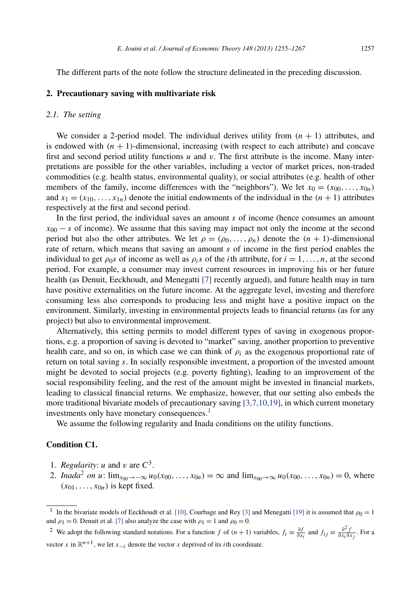<span id="page-2-0"></span>The different parts of the note follow the structure delineated in the preceding discussion.

# **2. Precautionary saving with multivariate risk**

# *2.1. The setting*

We consider a 2-period model. The individual derives utility from  $(n + 1)$  attributes, and is endowed with  $(n + 1)$ -dimensional, increasing (with respect to each attribute) and concave first and second period utility functions *u* and *v*. The first attribute is the income. Many interpretations are possible for the other variables, including a vector of market prices, non-traded commodities (e.g. health status, environmental quality), or social attributes (e.g. health of other members of the family, income differences with the "neighbors"). We let  $x_0 = (x_{00}, \ldots, x_{0n})$ and  $x_1 = (x_{10}, \ldots, x_{1n})$  denote the initial endowments of the individual in the  $(n + 1)$  attributes respectively at the first and second period.

In the first period, the individual saves an amount *s* of income (hence consumes an amount  $x_{00} - s$  of income). We assume that this saving may impact not only the income at the second period but also the other attributes. We let  $\rho = (\rho_0, \ldots, \rho_n)$  denote the  $(n + 1)$ -dimensional rate of return, which means that saving an amount *s* of income in the first period enables the individual to get  $\rho_0 s$  of income as well as  $\rho_i s$  of the *i*th attribute, for  $i = 1, \ldots, n$ , at the second period. For example, a consumer may invest current resources in improving his or her future health (as Denuit, Eeckhoudt, and Menegatti [\[7\]](#page-11-0) recently argued), and future health may in turn have positive externalities on the future income. At the aggregate level, investing and therefore consuming less also corresponds to producing less and might have a positive impact on the environment. Similarly, investing in environmental projects leads to financial returns (as for any project) but also to environmental improvement.

Alternatively, this setting permits to model different types of saving in exogenous proportions, e.g. a proportion of saving is devoted to "market" saving, another proportion to preventive health care, and so on, in which case we can think of  $\rho_i$  as the exogenous proportional rate of return on total saving *s*. In socially responsible investment, a proportion of the invested amount might be devoted to social projects (e.g. poverty fighting), leading to an improvement of the social responsibility feeling, and the rest of the amount might be invested in financial markets, leading to classical financial returns. We emphasize, however, that our setting also embeds the more traditional bivariate models of precautionary saving [\[3,7,10,19\],](#page-11-0) in which current monetary investments only have monetary consequences.<sup>1</sup>

We assume the following regularity and Inada conditions on the utility functions.

# **Condition C1.**

- 1. *Regularity: u* and *v* are  $C^3$ .
- 2. *Inada*<sup>2</sup> *on u*:  $\lim_{x_{00}\to-\infty} u_0(x_{00},...,x_{0n}) = \infty$  and  $\lim_{x_{00}\to\infty} u_0(x_{00},...,x_{0n}) = 0$ , where  $(x_{01},...,x_{0n})$  is kept fixed.

<sup>&</sup>lt;sup>1</sup> In the bivariate models of Eeckhoudt et al. [\[10\],](#page-11-0) Courbage and Rey [\[3\]](#page-11-0) and Menegatti [\[19\]](#page-12-0) it is assumed that  $\rho_0 = 1$ and  $\rho_1 = 0$ . Denuit et al. [\[7\]](#page-11-0) also analyze the case with  $\rho_1 = 1$  and  $\rho_0 = 0$ .

<sup>&</sup>lt;sup>2</sup> We adopt the following standard notations. For a function *f* of  $(n + 1)$  variables,  $f_i \equiv \frac{\partial f}{\partial x_i}$  and  $f_{ij} \equiv \frac{\partial^2 f}{\partial x_i \partial x_j}$ . For a vector *x* in  $\mathbb{R}^{n+1}$ , we let  $x_{-i}$  denote the vector *x* deprived of its *i*th coordinate.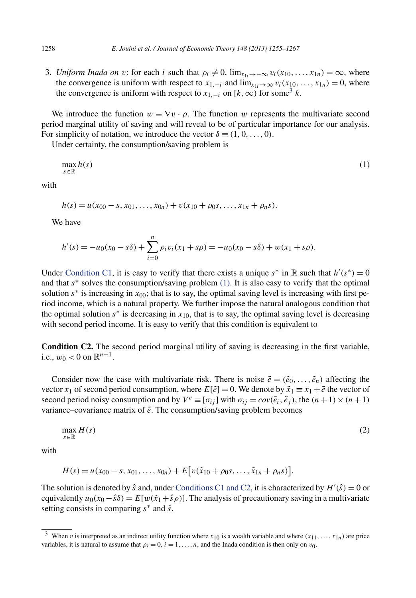3. *Uniform Inada on v*: for each *i* such that  $\rho_i \neq 0$ ,  $\lim_{x_{1i} \to -\infty} v_i(x_{10},...,x_{1n}) = \infty$ , where the convergence is uniform with respect to  $x_{1,-i}$  and  $\lim_{x_{1i}\to\infty} v_i(x_{10},...,x_{1n}) = 0$ , where the convergence is uniform with respect to  $x_{1,-i}$  on  $[k,\infty)$  for some<sup>3</sup> *k*.

We introduce the function  $w \equiv \nabla v \cdot \rho$ . The function *w* represents the multivariate second period marginal utility of saving and will reveal to be of particular importance for our analysis. For simplicity of notation, we introduce the vector  $\delta \equiv (1, 0, \ldots, 0)$ .

Under certainty, the consumption/saving problem is

$$
\max_{s \in \mathbb{R}} h(s) \tag{1}
$$

with

$$
h(s) = u(x_{00} - s, x_{01}, \dots, x_{0n}) + v(x_{10} + \rho_0 s, \dots, x_{1n} + \rho_n s).
$$

We have

$$
h'(s) = -u_0(x_0 - s\delta) + \sum_{i=0}^n \rho_i v_i(x_1 + s\rho) = -u_0(x_0 - s\delta) + w(x_1 + s\rho).
$$

Under [Condition C1,](#page-2-0) it is easy to verify that there exists a unique  $s^*$  in R such that  $h'(s^*) = 0$ and that *s*∗ solves the consumption/saving problem (1). It is also easy to verify that the optimal solution  $s^*$  is increasing in  $x_{00}$ ; that is to say, the optimal saving level is increasing with first period income, which is a natural property. We further impose the natural analogous condition that the optimal solution  $s^*$  is decreasing in  $x_{10}$ , that is to say, the optimal saving level is decreasing with second period income. It is easy to verify that this condition is equivalent to

**Condition C2.** The second period marginal utility of saving is decreasing in the first variable, i.e.,  $w_0 < 0$  on  $\mathbb{R}^{n+1}$ .

Consider now the case with multivariate risk. There is noise  $\tilde{e} = (\tilde{e}_0, \ldots, \tilde{e}_n)$  affecting the vector *x*<sub>1</sub> of second period consumption, where  $E[\tilde{e}] = 0$ . We denote by  $\tilde{x}_1 \equiv x_1 + \tilde{e}$  the vector of second period noisy consumption and by  $V^e \equiv [\sigma_{ij}]$  with  $\sigma_{ij} = cov(\tilde{e}_i, \tilde{e}_j)$ , the  $(n+1) \times (n+1)$ variance–covariance matrix of  $\tilde{e}$ . The consumption/saving problem becomes

$$
\max_{s \in \mathbb{R}} H(s) \tag{2}
$$

with

$$
H(s) = u(x_{00} - s, x_{01}, \dots, x_{0n}) + E[v(\tilde{x}_{10} + \rho_0 s, \dots, \tilde{x}_{1n} + \rho_n s)].
$$

The solution is denoted by  $\hat{s}$  and, under [Conditions C1 and C2,](#page-2-0) it is characterized by  $H'(\hat{s}) = 0$  or equivalently  $u_0(x_0 - \hat{s}\delta) = E[w(\tilde{x}_1 + \hat{s}\rho)]$ . The analysis of precautionary saving in a multivariate setting consists in comparing *s*<sup>∗</sup> and *s*ˆ.

<span id="page-3-0"></span>

<sup>&</sup>lt;sup>3</sup> When *v* is interpreted as an indirect utility function where  $x_{10}$  is a wealth variable and where  $(x_{11},...,x_{1n})$  are price variables, it is natural to assume that  $\rho_i = 0$ ,  $i = 1, \ldots, n$ , and the Inada condition is then only on  $v_0$ .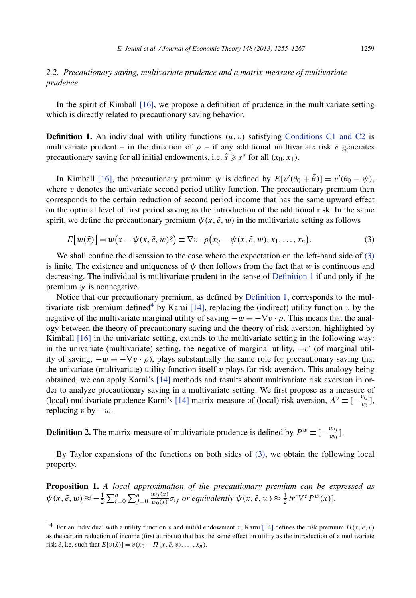# <span id="page-4-0"></span>*2.2. Precautionary saving, multivariate prudence and a matrix-measure of multivariate prudence*

In the spirit of Kimball [\[16\],](#page-11-0) we propose a definition of prudence in the multivariate setting which is directly related to precautionary saving behavior.

**Definition 1.** An individual with utility functions  $(u, v)$  satisfying [Conditions C1 and C2](#page-2-0) is multivariate prudent – in the direction of  $\rho$  – if any additional multivariate risk  $\tilde{e}$  generates precautionary saving for all initial endowments, i.e.  $\hat{s} \geq s^*$  for all  $(x_0, x_1)$ .

In Kimball [\[16\],](#page-11-0) the precautionary premium  $\psi$  is defined by  $E[v'(\theta_0 + \theta)] = v'(\theta_0 - \psi)$ , where  $\nu$  denotes the univariate second period utility function. The precautionary premium then corresponds to the certain reduction of second period income that has the same upward effect on the optimal level of first period saving as the introduction of the additional risk. In the same spirit, we define the precautionary premium  $\psi(x, \tilde{e}, w)$  in the multivariate setting as follows

$$
E[w(\tilde{x})] = w(x - \psi(x, \tilde{e}, w)\delta) \equiv \nabla v \cdot \rho(x_0 - \psi(x, \tilde{e}, w), x_1, \dots, x_n). \tag{3}
$$

We shall confine the discussion to the case where the expectation on the left-hand side of (3) is finite. The existence and uniqueness of *ψ* then follows from the fact that *w* is continuous and decreasing. The individual is multivariate prudent in the sense of Definition 1 if and only if the premium  $\psi$  is nonnegative.

Notice that our precautionary premium, as defined by Definition 1, corresponds to the mul-tivariate risk premium defined<sup>4</sup> by Karni [\[14\],](#page-11-0) replacing the (indirect) utility function  $v$  by the negative of the multivariate marginal utility of saving  $-w \equiv -\nabla v \cdot \rho$ . This means that the analogy between the theory of precautionary saving and the theory of risk aversion, highlighted by Kimball [\[16\]](#page-11-0) in the univariate setting, extends to the multivariate setting in the following way: in the univariate (multivariate) setting, the negative of marginal utility,  $-v'$  (of marginal utility of saving,  $-w \equiv -\nabla v \cdot \rho$ , plays substantially the same role for precautionary saving that the univariate (multivariate) utility function itself  $\nu$  plays for risk aversion. This analogy being obtained, we can apply Karni's [\[14\]](#page-11-0) methods and results about multivariate risk aversion in order to analyze precautionary saving in a multivariate setting. We first propose as a measure of (local) multivariate prudence Karni's [\[14\]](#page-11-0) matrix-measure of (local) risk aversion,  $A^v \equiv [-\frac{v_{ij}}{v_0}]$ , replacing *v* by  $-w$ .

**Definition 2.** The matrix-measure of multivariate prudence is defined by  $P^w \equiv \left[-\frac{w_{ij}}{w_0}\right]$ .

By Taylor expansions of the functions on both sides of (3), we obtain the following local property.

**Proposition 1.** *A local approximation of the precautionary premium can be expressed as*  $\psi(x, \tilde{e}, w) \approx -\frac{1}{2} \sum_{i=0}^{n} \sum_{j=0}^{n}$  $\frac{w_{ij}(x)}{w_0(x)}\sigma_{ij}$  *or equivalently*  $\psi(x,\tilde{e},w) \approx \frac{1}{2}tr[V^eP^w(x)].$ 

<sup>&</sup>lt;sup>4</sup> For an individual with a utility function *v* and initial endowment *x*, Karni [\[14\]](#page-11-0) defines the risk premium  $\Pi(x, \tilde{e}, v)$ as the certain reduction of income (first attribute) that has the same effect on utility as the introduction of a multivariate risk  $\tilde{e}$ , i.e. such that  $E[v(\tilde{x})] = v(x_0 - \Pi(x, \tilde{e}, v), \dots, x_n)$ .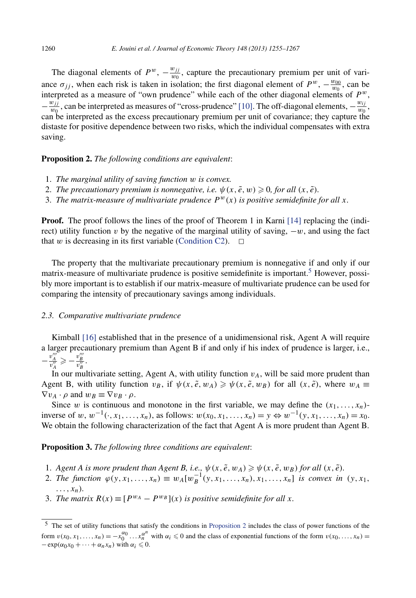<span id="page-5-0"></span>The diagonal elements of  $P^w$ ,  $-\frac{w_{jj}}{w_0}$ , capture the precautionary premium per unit of variance  $\sigma_{jj}$ , when each risk is taken in isolation; the first diagonal element of  $P^w$ ,  $-\frac{w_{00}}{w_0}$ , can be interpreted as a measure of "own prudence" while each of the other diagonal elements of  $P^w$ ,  $-\frac{w_{jj}}{w_0}$ , can be interpreted as measures of "cross-prudence" [\[10\].](#page-11-0) The off-diagonal elements,  $-\frac{w_{jj}}{w_0}$ , can be interpreted as the excess precautionary premium per unit of covariance; they capture the distaste for positive dependence between two risks, which the individual compensates with extra saving.

#### **Proposition 2.** *The following conditions are equivalent*:

- 1. *The marginal utility of saving function w is convex.*
- 2. *The precautionary premium is nonnegative, i.e.*  $\psi(x, \tilde{e}, w) \geq 0$ , for all  $(x, \tilde{e})$ .
- 3. The matrix-measure of multivariate prudence  $P^{w}(x)$  is positive semidefinite for all x.

**Proof.** The proof follows the lines of the proof of Theorem 1 in Karni [\[14\]](#page-11-0) replacing the (indirect) utility function *v* by the negative of the marginal utility of saving,  $-w$ , and using the fact that *w* is decreasing in its first variable [\(Condition C2\)](#page-3-0).  $\Box$ 

The property that the multivariate precautionary premium is nonnegative if and only if our matrix-measure of multivariate prudence is positive semidefinite is important.<sup>5</sup> However, possibly more important is to establish if our matrix-measure of multivariate prudence can be used for comparing the intensity of precautionary savings among individuals.

#### *2.3. Comparative multivariate prudence*

Kimball [\[16\]](#page-11-0) established that in the presence of a unidimensional risk, Agent A will require a larger precautionary premium than Agent B if and only if his index of prudence is larger, i.e.,  $-\frac{v_A'''}{v_A''}\geqslant -\frac{v_B'''}{v_B''}.$ 

In our multivariate setting, Agent A, with utility function  $v_A$ , will be said more prudent than Agent B, with utility function  $v_B$ , if  $\psi(x, \tilde{e}, w_A) \ge \psi(x, \tilde{e}, w_B)$  for all  $(x, \tilde{e})$ , where  $w_A \equiv$  $\nabla v_A \cdot \rho$  and  $w_B \equiv \nabla v_B \cdot \rho$ .

Since *w* is continuous and monotone in the first variable, we may define the  $(x_1, \ldots, x_n)$ inverse of *<sup>w</sup>*, *<sup>w</sup>*−1*(*·*, x*1*,...,xn)*, as follows: *w(x*0*, x*1*,...,xn)* <sup>=</sup> *<sup>y</sup>* <sup>⇔</sup> *<sup>w</sup>*−1*(y, x*1*,...,xn)* <sup>=</sup> *<sup>x</sup>*0. We obtain the following characterization of the fact that Agent A is more prudent than Agent B.

**Proposition 3.** *The following three conditions are equivalent*:

- 1. *Agent A is more prudent than Agent B, i.e.,*  $\psi(x, \tilde{e}, w_A) \geq \psi(x, \tilde{e}, w_B)$  for all  $(x, \tilde{e})$ .
- 2. *The function*  $\varphi(y, x_1, ..., x_n) \equiv w_A[w_B^{-1}(y, x_1, ..., x_n), x_1, ..., x_n]$  *is convex in*  $(y, x_1, ...$ *...,xn).*
- 3. *The matrix*  $R(x) \equiv [P^{w_A} P^{w_B}](x)$  *is positive semidefinite for all x.*

<sup>5</sup> The set of utility functions that satisfy the conditions in Proposition 2 includes the class of power functions of the form  $v(x_0, x_1, \ldots, x_n) = -x_0^{\alpha_0} \ldots x_n^{\alpha^n}$  with  $\alpha_i \leq 0$  and the class of exponential functions of the form  $v(x_0, \ldots, x_n) =$  $-\exp(\alpha_0 x_0 + \cdots + \alpha_n x_n)$  with  $\alpha_i \leq 0$ .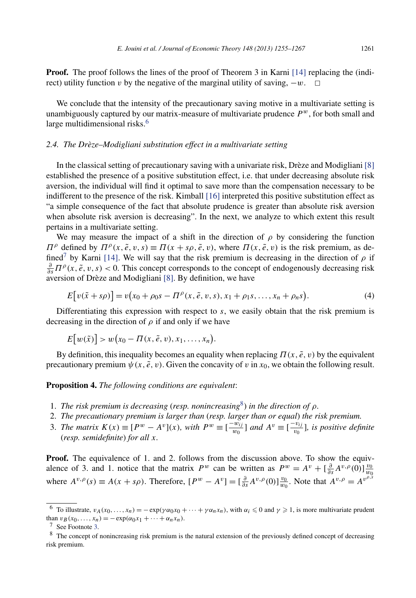**Proof.** The proof follows the lines of the proof of Theorem 3 in Karni [\[14\]](#page-11-0) replacing the (indirect) utility function *v* by the negative of the marginal utility of saving,  $-w$ .  $\Box$ 

We conclude that the intensity of the precautionary saving motive in a multivariate setting is unambiguously captured by our matrix-measure of multivariate prudence  $P^w$ , for both small and large multidimensional risks.<sup>6</sup>

# *2.4. The Drèze–Modigliani substitution effect in a multivariate setting*

In the classical setting of precautionary saving with a univariate risk, Drèze and Modigliani [\[8\]](#page-11-0) established the presence of a positive substitution effect, i.e. that under decreasing absolute risk aversion, the individual will find it optimal to save more than the compensation necessary to be indifferent to the presence of the risk. Kimball [\[16\]](#page-11-0) interpreted this positive substitution effect as "a simple consequence of the fact that absolute prudence is greater than absolute risk aversion when absolute risk aversion is decreasing". In the next, we analyze to which extent this result pertains in a multivariate setting.

We may measure the impact of a shift in the direction of *ρ* by considering the function *Π*<sup>ρ</sup> defined by  $\Pi^{\rho}(x, \tilde{e}, v, s) \equiv \Pi(x + s\rho, \tilde{e}, v)$ , where  $\Pi(x, \tilde{e}, v)$  is the risk premium, as de-fined<sup>7</sup> by Karni [\[14\].](#page-11-0) We will say that the risk premium is decreasing in the direction of  $\rho$  if  $\frac{\partial}{\partial s} \Pi^{\rho}(x, \tilde{e}, v, s) < 0$ . This concept corresponds to the concept of endogenously decreasing risk aversion of Drèze and Modigliani [\[8\].](#page-11-0) By definition, we have

$$
E[v(\tilde{x} + s\rho)] = v(x_0 + \rho_0 s - \Pi^{\rho}(x, \tilde{e}, v, s), x_1 + \rho_1 s, ..., x_n + \rho_n s).
$$
\n(4)

Differentiating this expression with respect to *s*, we easily obtain that the risk premium is decreasing in the direction of *ρ* if and only if we have

$$
E[w(\tilde{x})] > w(x_0 - \Pi(x, \tilde{e}, v), x_1, \ldots, x_n).
$$

By definition, this inequality becomes an equality when replacing  $\Pi(x, \tilde{e}, v)$  by the equivalent precautionary premium  $\psi(x, \tilde{e}, v)$ . Given the concavity of *v* in  $x_0$ , we obtain the following result.

**Proposition 4.** *The following conditions are equivalent*:

- 1. *The risk premium is decreasing* (*resp. nonincreasing*8) *in the direction of ρ.*
- 2. *The precautionary premium is larger than* (*resp. larger than or equal*) *the risk premium.*
- 3. *The matrix*  $K(x) \equiv [P^w A^v](x)$ *, with*  $P^w \equiv [\frac{-w_{ij}}{w_0}]$  and  $A^v \equiv [\frac{-v_{ij}}{w_0}]$ *, is positive definite* (*resp. semidefinite*) *for all x.*

**Proof.** The equivalence of 1. and 2. follows from the discussion above. To show the equivalence of 3. and 1. notice that the matrix  $P^w$  can be written as  $P^w = A^v + \left[\frac{\partial}{\partial s}A^{v,\rho}(0)\right]\frac{v_0}{w_0}$ <br>where  $A^{v,\rho}(s) \equiv A(x + s\rho)$ . Therefore,  $[P^w - A^v] = \left[\frac{\partial}{\partial s}A^{v,\rho}(0)\right]\frac{v_0}{w_0}$ . Note that  $A^{v,\rho} = A^{v^{\rho,s}}$ 

<sup>&</sup>lt;sup>6</sup> To illustrate,  $v_A(x_0,...,x_n) = -\exp(\gamma \alpha_0 x_0 + \cdots + \gamma \alpha_n x_n)$ , with  $\alpha_i \leq 0$  and  $\gamma \geq 1$ , is more multivariate prudent than  $v_B(x_0, \ldots, x_n) = -\exp(\alpha_0 x_1 + \cdots + \alpha_n x_n)$ .<br><sup>7</sup> See Footnote [3.](#page-3-0)

<sup>&</sup>lt;sup>8</sup> The concept of nonincreasing risk premium is the natural extension of the previously defined concept of decreasing risk premium.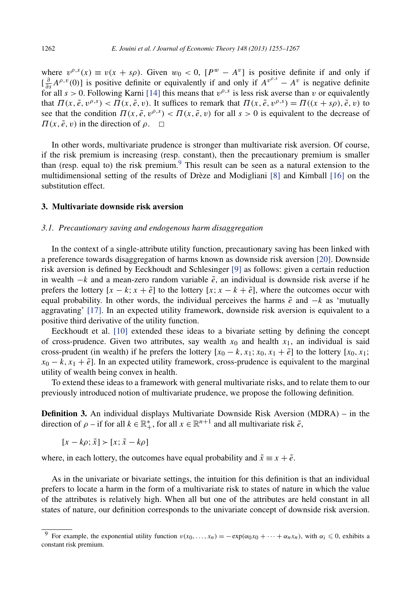where  $v^{\rho,s}(x) \equiv v(x + s\rho)$ . Given  $w_0 < 0$ ,  $[P^w - A^v]$  is positive definite if and only if  $\left[\frac{\partial}{\partial s}A^{\rho,\nu}(0)\right]$  is positive definite or equivalently if and only if  $A^{\nu^{\rho,s}} - A^{\nu}$  is negative definite for all  $s > 0$ . Following Karni [\[14\]](#page-11-0) this means that  $v^{\rho,s}$  is less risk averse than *v* or equivalently that  $\Pi(x, \tilde{e}, v^{\rho,s}) < \Pi(x, \tilde{e}, v)$ . It suffices to remark that  $\Pi(x, \tilde{e}, v^{\rho,s}) = \Pi((x + sp), \tilde{e}, v)$  to see that the condition  $\Pi(x, \tilde{e}, v^{\rho,s}) < \Pi(x, \tilde{e}, v)$  for all  $s > 0$  is equivalent to the decrease of  $\Pi(x, \tilde{e}, v)$  in the direction of  $\rho$ .  $\Box$ 

In other words, multivariate prudence is stronger than multivariate risk aversion. Of course, if the risk premium is increasing (resp. constant), then the precautionary premium is smaller than (resp. equal to) the risk premium.<sup>9</sup> This result can be seen as a natural extension to the multidimensional setting of the results of Drèze and Modigliani [\[8\]](#page-11-0) and Kimball [\[16\]](#page-11-0) on the substitution effect.

# **3. Multivariate downside risk aversion**

#### *3.1. Precautionary saving and endogenous harm disaggregation*

In the context of a single-attribute utility function, precautionary saving has been linked with a preference towards disaggregation of harms known as downside risk aversion [\[20\].](#page-12-0) Downside risk aversion is defined by Eeckhoudt and Schlesinger [\[9\]](#page-11-0) as follows: given a certain reduction in wealth  $-k$  and a mean-zero random variable  $\tilde{e}$ , an individual is downside risk averse if he prefers the lottery  $[x - k; x + \tilde{e}]$  to the lottery  $[x; x - k + \tilde{e}]$ , where the outcomes occur with equal probability. In other words, the individual perceives the harms  $\tilde{e}$  and  $-k$  as 'mutually aggravating' [\[17\].](#page-11-0) In an expected utility framework, downside risk aversion is equivalent to a positive third derivative of the utility function.

Eeckhoudt et al. [\[10\]](#page-11-0) extended these ideas to a bivariate setting by defining the concept of cross-prudence. Given two attributes, say wealth  $x_0$  and health  $x_1$ , an individual is said cross-prudent (in wealth) if he prefers the lottery  $[x_0 - k, x_1; x_0, x_1 + \tilde{e}]$  to the lottery  $[x_0, x_1; x_0 + k]$  $x_0 - k$ ,  $x_1 + \tilde{e}$ . In an expected utility framework, cross-prudence is equivalent to the marginal utility of wealth being convex in health.

To extend these ideas to a framework with general multivariate risks, and to relate them to our previously introduced notion of multivariate prudence, we propose the following definition.

**Definition 3.** An individual displays Multivariate Downside Risk Aversion (MDRA) – in the direction of  $\rho$  – if for all  $k \in \mathbb{R}^*$ , for all  $x \in \mathbb{R}^{n+1}$  and all multivariate risk  $\tilde{e}$ ,

$$
[x-k\rho; \tilde{x}] \succ [x; \tilde{x}-k\rho]
$$

where, in each lottery, the outcomes have equal probability and  $\tilde{x} \equiv x + \tilde{e}$ .

As in the univariate or bivariate settings, the intuition for this definition is that an individual prefers to locate a harm in the form of a multivariate risk to states of nature in which the value of the attributes is relatively high. When all but one of the attributes are held constant in all states of nature, our definition corresponds to the univariate concept of downside risk aversion.

<sup>&</sup>lt;sup>9</sup> For example, the exponential utility function  $v(x_0, \ldots, x_n) = -\exp(\alpha_0 x_0 + \cdots + \alpha_n x_n)$ , with  $\alpha_i \leq 0$ , exhibits a constant risk premium.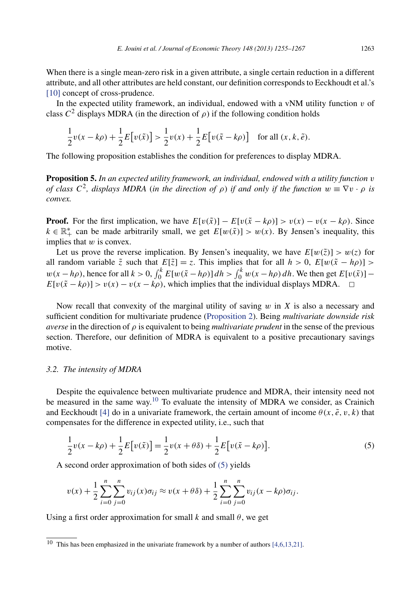<span id="page-8-0"></span>When there is a single mean-zero risk in a given attribute, a single certain reduction in a different attribute, and all other attributes are held constant, our definition corresponds to Eeckhoudt et al.'s [\[10\]](#page-11-0) concept of cross-prudence.

In the expected utility framework, an individual, endowed with a vNM utility function  $v$  of class  $C^2$  displays MDRA (in the direction of  $\rho$ ) if the following condition holds

$$
\frac{1}{2}v(x-k\rho) + \frac{1}{2}E[v(\tilde{x})] > \frac{1}{2}v(x) + \frac{1}{2}E[v(\tilde{x}-k\rho)] \text{ for all } (x,k,\tilde{e}).
$$

The following proposition establishes the condition for preferences to display MDRA.

**Proposition 5.** *In an expected utility framework, an individual, endowed with a utility function v of class*  $C^2$ , *displays MDRA* (*in the direction of*  $\rho$ ) *if and only if the function*  $w \equiv \nabla v \cdot \rho$  *is convex.*

**Proof.** For the first implication, we have  $E[v(\tilde{x})] - E[v(\tilde{x} - k\rho)] > v(x) - v(x - k\rho)$ . Since  $k \in \mathbb{R}^*$  can be made arbitrarily small, we get  $E[w(\tilde{x})] > w(x)$ . By Jensen's inequality, this implies that *w* is convex.

Let us prove the reverse implication. By Jensen's inequality, we have  $E[w(\tilde{z})] > w(z)$  for all random variable  $\tilde{z}$  such that  $E[\tilde{z}] = z$ . This implies that for all  $h > 0$ ,  $E[w(\tilde{x} - h\rho)] >$  $w(x - h\rho)$ , hence for all  $k > 0$ ,  $\int_0^k E[w(\tilde{x} - h\rho)] dh > \int_0^k w(x - h\rho) dh$ . We then get  $E[v(\tilde{x})]$  –  $E[v(\tilde{x} - k\rho)] > v(x) - v(x - k\rho)$ , which implies that the individual displays MDRA.  $\Box$ 

Now recall that convexity of the marginal utility of saving *w* in *X* is also a necessary and sufficient condition for multivariate prudence [\(Proposition 2\)](#page-5-0). Being *multivariate downside risk averse* in the direction of *ρ* is equivalent to being *multivariate prudent* in the sense of the previous section. Therefore, our definition of MDRA is equivalent to a positive precautionary savings motive.

#### *3.2. The intensity of MDRA*

Despite the equivalence between multivariate prudence and MDRA, their intensity need not be measured in the same way.<sup>10</sup> To evaluate the intensity of MDRA we consider, as Crainich and Eeckhoudt [\[4\]](#page-11-0) do in a univariate framework, the certain amount of income  $\theta(x, \tilde{e}, v, k)$  that compensates for the difference in expected utility, i.e., such that

$$
\frac{1}{2}v(x - k\rho) + \frac{1}{2}E[v(\tilde{x})] = \frac{1}{2}v(x + \theta\delta) + \frac{1}{2}E[v(\tilde{x} - k\rho)].
$$
\n(5)

A second order approximation of both sides of (5) yields

$$
v(x) + \frac{1}{2} \sum_{i=0}^{n} \sum_{j=0}^{n} v_{ij}(x) \sigma_{ij} \approx v(x + \theta \delta) + \frac{1}{2} \sum_{i=0}^{n} \sum_{j=0}^{n} v_{ij}(x - k\rho) \sigma_{ij}.
$$

Using a first order approximation for small  $k$  and small  $\theta$ , we get

<sup>&</sup>lt;sup>10</sup> This has been emphasized in the univariate framework by a number of authors [\[4,6,13,21\].](#page-11-0)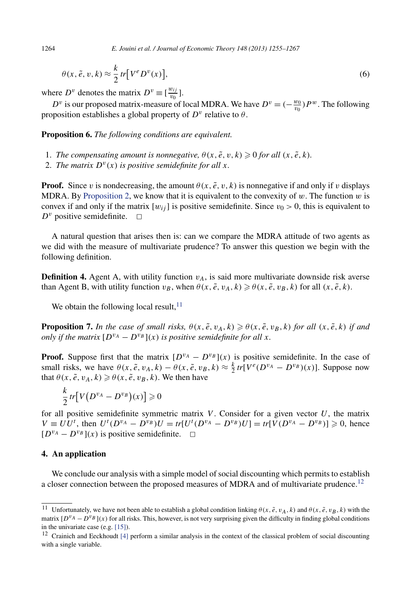$$
\theta(x, \tilde{e}, v, k) \approx \frac{k}{2} \operatorname{tr} \left[ V^e D^v(x) \right],\tag{6}
$$

where  $D^v$  denotes the matrix  $D^v \equiv \left[\frac{w_{ij}}{v_0}\right]$ .

*D*<sup>*v*</sup> is our proposed matrix-measure of local MDRA. We have  $D^v = (-\frac{w_0}{v_0})P^w$ . The following proposition establishes a global property of  $D^v$  relative to  $\theta$ .

**Proposition 6.** *The following conditions are equivalent.*

- 1. *The compensating amount is nonnegative,*  $\theta(x, \tilde{e}, v, k) \geq 0$  *for all*  $(x, \tilde{e}, k)$ *.*
- 2. *The matrix*  $D^v(x)$  *is positive semidefinite for all x.*

**Proof.** Since *v* is nondecreasing, the amount  $\theta(x, \tilde{e}, v, k)$  is nonnegative if and only if *v* displays MDRA. By [Proposition 2,](#page-5-0) we know that it is equivalent to the convexity of *w*. The function *w* is convex if and only if the matrix  $[w_{ij}]$  is positive semidefinite. Since  $v_0 > 0$ , this is equivalent to  $D^v$  positive semidefinite.

A natural question that arises then is: can we compare the MDRA attitude of two agents as we did with the measure of multivariate prudence? To answer this question we begin with the following definition.

**Definition 4.** Agent A, with utility function  $v_A$ , is said more multivariate downside risk averse than Agent B, with utility function  $v_B$ , when  $\theta(x, \tilde{e}, v_A, k) \ge \theta(x, \tilde{e}, v_B, k)$  for all  $(x, \tilde{e}, k)$ .

We obtain the following local result,  $11$ 

**Proposition 7.** In the case of small risks,  $\theta(x, \tilde{e}, v_A, k) \geq \theta(x, \tilde{e}, v_B, k)$  for all  $(x, \tilde{e}, k)$  if and *only if the matrix*  $[D^{v_A} - D^{v_B}](x)$  *is positive semidefinite for all x.* 

**Proof.** Suppose first that the matrix  $[D^{v_A} - D^{v_B}](x)$  is positive semidefinite. In the case of small risks, we have  $\theta(x, \tilde{e}, v_A, k) - \theta(x, \tilde{e}, v_B, k) \approx \frac{k}{2} tr[V^e(D^{v_A} - D^{v_B})(x)]$ . Suppose now that  $\theta(x, \tilde{e}, v_A, k) \geq \theta(x, \tilde{e}, v_B, k)$ . We then have

$$
\frac{k}{2}tr[V(D^{v_A}-D^{v_B})(x)] \geq 0
$$

for all positive semidefinite symmetric matrix  $V$ . Consider for a given vector  $U$ , the matrix  $V = U U^t$ , then  $U^t (D^{v_A} - D^{v_B}) U = tr[U^t (D^{v_A} - D^{v_B}) U] = tr[V(D^{v_A} - D^{v_B})] \ge 0$ , hence  $[D^{v_A} - D^{v_B}](x)$  is positive semidefinite.  $\Box$ 

#### **4. An application**

We conclude our analysis with a simple model of social discounting which permits to establish a closer connection between the proposed measures of MDRA and of multivariate prudence.<sup>12</sup>

<sup>&</sup>lt;sup>11</sup> Unfortunately, we have not been able to establish a global condition linking  $\theta(x, \tilde{e}, v_A, k)$  and  $\theta(x, \tilde{e}, v_B, k)$  with the matrix  $[D^{v_A} - D^{v_B}](x)$  for all risks. This, however, is not very surprising given the difficulty in finding global conditions in the univariate case (e.g. [\[15\]\)](#page-11-0).

<sup>&</sup>lt;sup>12</sup> Crainich and Eeckhoudt [\[4\]](#page-11-0) perform a similar analysis in the context of the classical problem of social discounting with a single variable.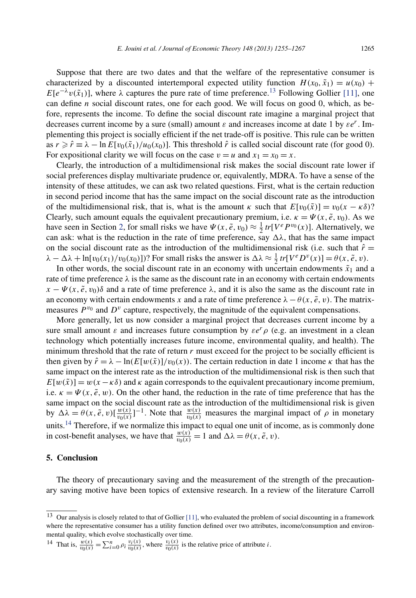Suppose that there are two dates and that the welfare of the representative consumer is characterized by a discounted intertemporal expected utility function  $H(x_0, \tilde{x}_1) = u(x_0) +$ *E*[ $e^{-\lambda}v(\tilde{x}_1)$ ], where  $\lambda$  captures the pure rate of time preference.<sup>13</sup> Following Gollier [\[11\],](#page-11-0) one can define *n* social discount rates, one for each good. We will focus on good 0, which, as before, represents the income. To define the social discount rate imagine a marginal project that decreases current income by a sure (small) amount *ε* and increases income at date 1 by *εer*. Implementing this project is socially efficient if the net trade-off is positive. This rule can be written as  $r \ge \hat{r} \equiv \lambda - \ln E[v_0(\tilde{x}_1)/u_0(x_0)]$ . This threshold  $\hat{r}$  is called social discount rate (for good 0). For expositional clarity we will focus on the case  $v = u$  and  $x_1 = x_0 = x$ .

Clearly, the introduction of a multidimensional risk makes the social discount rate lower if social preferences display multivariate prudence or, equivalently, MDRA. To have a sense of the intensity of these attitudes, we can ask two related questions. First, what is the certain reduction in second period income that has the same impact on the social discount rate as the introduction of the multidimensional risk, that is, what is the amount *κ* such that  $E[v_0(\tilde{x})] = v_0(x - \kappa \delta)$ ? Clearly, such amount equals the equivalent precautionary premium, i.e.  $\kappa = \Psi(x, \tilde{e}, v_0)$ . As we have seen in Section [2,](#page-2-0) for small risks we have  $\Psi(x, \tilde{e}, v_0) \approx \frac{1}{2} tr[V^e P^{v_0}(x)]$ . Alternatively, we can ask: what is the reduction in the rate of time preference, say  $\Delta\lambda$ , that has the same impact on the social discount rate as the introduction of the multidimensional risk (i.e. such that  $\hat{r} =$  $\lambda - \Delta\lambda + \ln[v_0(x_1)/v_0(x_0)]$ ? For small risks the answer is  $\Delta\lambda \approx \frac{1}{2} tr[V^e D^v(x)] = \theta(x, \tilde{e}, v)$ .

In other words, the social discount rate in an economy with uncertain endowments  $\tilde{x}_1$  and a rate of time preference  $\lambda$  is the same as the discount rate in an economy with certain endowments  $x - \Psi(x, \tilde{e}, v_0)$ δ and a rate of time preference  $\lambda$ , and it is also the same as the discount rate in an economy with certain endowments *x* and a rate of time preference  $\lambda - \theta(x, \tilde{e}, v)$ . The matrixmeasures  $P^{v_0}$  and  $D^v$  capture, respectively, the magnitude of the equivalent compensations.

More generally, let us now consider a marginal project that decreases current income by a sure small amount  $\varepsilon$  and increases future consumption by  $\varepsilon e^r \rho$  (e.g. an investment in a clean technology which potentially increases future income, environmental quality, and health). The minimum threshold that the rate of return *r* must exceed for the project to be socially efficient is then given by  $\hat{r} = \lambda - \ln(E[w(\tilde{x})]/v_0(x))$ . The certain reduction in date 1 income  $\kappa$  that has the same impact on the interest rate as the introduction of the multidimensional risk is then such that  $E[w(\tilde{x})] = w(x - \kappa \delta)$  and  $\kappa$  again corresponds to the equivalent precautionary income premium, i.e.  $\kappa = \Psi(x, \tilde{e}, w)$ . On the other hand, the reduction in the rate of time preference that has the same impact on the social discount rate as the introduction of the multidimensional risk is given by  $\Delta\lambda = \theta(x, \tilde{e}, v) \left[\frac{w(x)}{v_0(x)}\right]^{-1}$ . Note that  $\frac{w(x)}{v_0(x)}$  measures the marginal impact of  $\rho$  in monetary units.<sup>14</sup> Therefore, if we normalize this impact to equal one unit of income, as is commonly done in cost-benefit analyses, we have that  $\frac{w(x)}{v_0(x)} = 1$  and  $\Delta \lambda = \theta(x, \tilde{e}, v)$ .

# **5. Conclusion**

The theory of precautionary saving and the measurement of the strength of the precautionary saving motive have been topics of extensive research. In a review of the literature Carroll

<sup>14</sup> That is,  $\frac{w(x)}{v_0(x)} = \sum_{i=0}^n \rho_i \frac{v_i(x)}{v_0(x)}$ , where  $\frac{v_i(x)}{v_0(x)}$  is the relative price of attribute *i*.

<sup>&</sup>lt;sup>13</sup> Our analysis is closely related to that of Gollier [\[11\],](#page-11-0) who evaluated the problem of social discounting in a framework where the representative consumer has a utility function defined over two attributes, income/consumption and environmental quality, which evolve stochastically over time.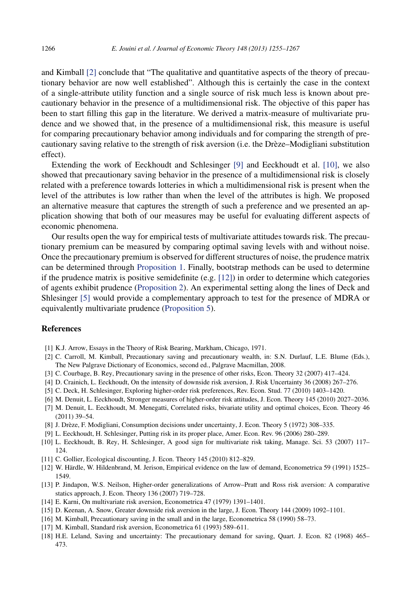<span id="page-11-0"></span>and Kimball [2] conclude that "The qualitative and quantitative aspects of the theory of precautionary behavior are now well established". Although this is certainly the case in the context of a single-attribute utility function and a single source of risk much less is known about precautionary behavior in the presence of a multidimensional risk. The objective of this paper has been to start filling this gap in the literature. We derived a matrix-measure of multivariate prudence and we showed that, in the presence of a multidimensional risk, this measure is useful for comparing precautionary behavior among individuals and for comparing the strength of precautionary saving relative to the strength of risk aversion (i.e. the Drèze–Modigliani substitution effect).

Extending the work of Eeckhoudt and Schlesinger [9] and Eeckhoudt et al. [10], we also showed that precautionary saving behavior in the presence of a multidimensional risk is closely related with a preference towards lotteries in which a multidimensional risk is present when the level of the attributes is low rather than when the level of the attributes is high. We proposed an alternative measure that captures the strength of such a preference and we presented an application showing that both of our measures may be useful for evaluating different aspects of economic phenomena.

Our results open the way for empirical tests of multivariate attitudes towards risk. The precautionary premium can be measured by comparing optimal saving levels with and without noise. Once the precautionary premium is observed for different structures of noise, the prudence matrix can be determined through [Proposition 1.](#page-4-0) Finally, bootstrap methods can be used to determine if the prudence matrix is positive semidefinite (e.g. [12]) in order to determine which categories of agents exhibit prudence [\(Proposition 2\)](#page-5-0). An experimental setting along the lines of Deck and Shlesinger [5] would provide a complementary approach to test for the presence of MDRA or equivalently multivariate prudence [\(Proposition 5\)](#page-8-0).

# **References**

- [1] K.J. Arrow, Essays in the Theory of Risk Bearing, Markham, Chicago, 1971.
- [2] C. Carroll, M. Kimball, Precautionary saving and precautionary wealth, in: S.N. Durlauf, L.E. Blume (Eds.), The New Palgrave Dictionary of Economics, second ed., Palgrave Macmillan, 2008.
- [3] C. Courbage, B. Rey, Precautionary saving in the presence of other risks, Econ. Theory 32 (2007) 417–424.
- [4] D. Crainich, L. Eeckhoudt, On the intensity of downside risk aversion, J. Risk Uncertainty 36 (2008) 267–276.
- [5] C. Deck, H. Schlesinger, Exploring higher-order risk preferences, Rev. Econ. Stud. 77 (2010) 1403–1420.
- [6] M. Denuit, L. Eeckhoudt, Stronger measures of higher-order risk attitudes, J. Econ. Theory 145 (2010) 2027–2036.
- [7] M. Denuit, L. Eeckhoudt, M. Menegatti, Correlated risks, bivariate utility and optimal choices, Econ. Theory 46 (2011) 39–54.
- [8] J. Drèze, F. Modigliani, Consumption decisions under uncertainty, J. Econ. Theory 5 (1972) 308–335.
- [9] L. Eeckhoudt, H. Schlesinger, Putting risk in its proper place, Amer. Econ. Rev. 96 (2006) 280–289.
- [10] L. Eeckhoudt, B. Rey, H. Schlesinger, A good sign for multivariate risk taking, Manage. Sci. 53 (2007) 117– 124.
- [11] C. Gollier, Ecological discounting, J. Econ. Theory 145 (2010) 812–829.
- [12] W. Härdle, W. Hildenbrand, M. Jerison, Empirical evidence on the law of demand, Econometrica 59 (1991) 1525– 1549.
- [13] P. Jindapon, W.S. Neilson, Higher-order generalizations of Arrow–Pratt and Ross risk aversion: A comparative statics approach, J. Econ. Theory 136 (2007) 719–728.
- [14] E. Karni, On multivariate risk aversion, Econometrica 47 (1979) 1391–1401.
- [15] D. Keenan, A. Snow, Greater downside risk aversion in the large, J. Econ. Theory 144 (2009) 1092–1101.
- [16] M. Kimball, Precautionary saving in the small and in the large, Econometrica 58 (1990) 58–73.
- [17] M. Kimball, Standard risk aversion, Econometrica 61 (1993) 589–611.
- [18] H.E. Leland, Saving and uncertainty: The precautionary demand for saving, Quart. J. Econ. 82 (1968) 465– 473.